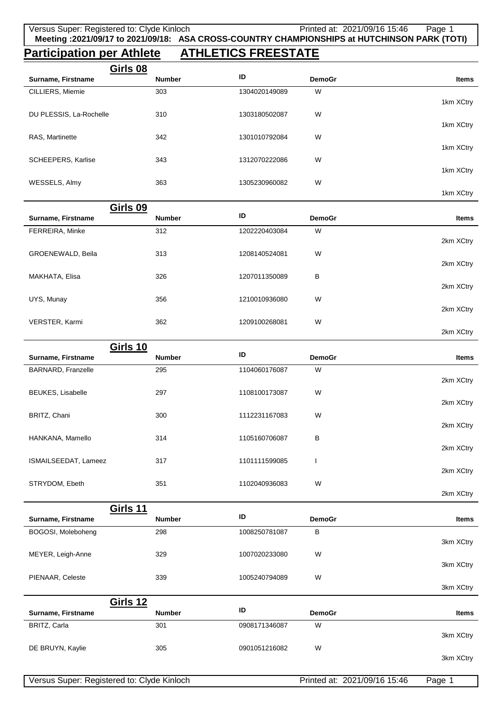## **Participation per Athlete ATHLETICS FREESTATE**

| Surname, Firstname                    | <b>Number</b> | ID            | <b>DemoGr</b> | Items        |
|---------------------------------------|---------------|---------------|---------------|--------------|
| CILLIERS, Miemie                      | 303           | 1304020149089 | W             | 1km XCtry    |
| DU PLESSIS, La-Rochelle               | 310           | 1303180502087 | W             | 1km XCtry    |
| RAS, Martinette                       | 342           | 1301010792084 | W             |              |
| SCHEEPERS, Karlise                    | 343           | 1312070222086 | W             | 1km XCtry    |
| WESSELS, Almy                         | 363           | 1305230960082 | W             | 1km XCtry    |
|                                       |               |               |               | 1km XCtry    |
| Girls 09<br>Surname, Firstname        | <b>Number</b> | ID            | <b>DemoGr</b> | <b>Items</b> |
| FERREIRA, Minke                       | 312           | 1202220403084 | W             |              |
| GROENEWALD, Beila                     | 313           | 1208140524081 | W             | 2km XCtry    |
|                                       |               |               |               | 2km XCtry    |
| MAKHATA, Elisa                        | 326           | 1207011350089 | В             | 2km XCtry    |
| UYS, Munay                            | 356           | 1210010936080 | W             | 2km XCtry    |
| VERSTER, Karmi                        | 362           | 1209100268081 | W             | 2km XCtry    |
|                                       |               |               |               |              |
| <b>Girls 10</b><br>Surname, Firstname | <b>Number</b> | ID            | <b>DemoGr</b> | Items        |
| BARNARD, Franzelle                    | 295           | 1104060176087 | W             |              |
| BEUKES, Lisabelle                     | 297           | 1108100173087 | W             | 2km XCtry    |
| BRITZ, Chani                          | 300           |               |               | 2km XCtry    |
|                                       |               |               |               |              |
|                                       |               | 1112231167083 | W             | 2km XCtry    |
| HANKANA, Mamello                      | 314           | 1105160706087 | В             | 2km XCtry    |
| ISMAILSEEDAT, Lameez                  | 317           | 1101111599085 |               |              |
| STRYDOM, Ebeth                        | 351           | 1102040936083 | W             | 2km XCtry    |
|                                       |               |               |               | 2km XCtry    |
| <b>Girls 11</b>                       |               |               |               |              |
| Surname, Firstname                    | <b>Number</b> | ID            | <b>DemoGr</b> | Items        |
| BOGOSI, Moleboheng                    | 298           | 1008250781087 | В             | 3km XCtry    |
| MEYER, Leigh-Anne                     | 329           | 1007020233080 | W             | 3km XCtry    |
| PIENAAR, Celeste                      | 339           | 1005240794089 | W             | 3km XCtry    |
|                                       |               |               |               |              |
| <b>Girls 12</b><br>Surname, Firstname | Number        | ID            | <b>DemoGr</b> | Items        |
| BRITZ, Carla                          | 301           | 0908171346087 | W             | 3km XCtry    |
| DE BRUYN, Kaylie                      | 305           | 0901051216082 | W             | 3km XCtry    |

Versus Super: Registered to: Clyde Kinloch Printed at: 2021/09/16 15:46 Page 1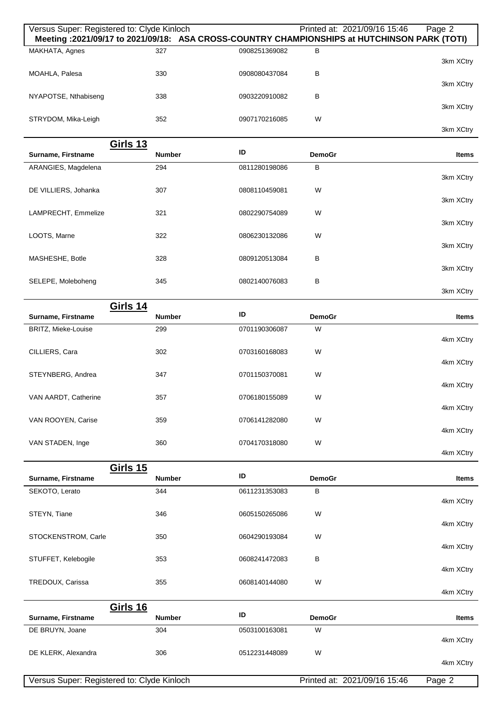| Versus Super: Registered to: Clyde Kinloch |                                  |               |                    | Printed at: 2021/09/16 15:46<br>Page 2<br>Meeting: 2021/09/17 to 2021/09/18: ASA CROSS-COUNTRY CHAMPIONSHIPS at HUTCHINSON PARK (TOTI) |
|--------------------------------------------|----------------------------------|---------------|--------------------|----------------------------------------------------------------------------------------------------------------------------------------|
| MAKHATA, Agnes                             | 327                              | 0908251369082 | В                  |                                                                                                                                        |
| MOAHLA, Palesa                             | 330                              | 0908080437084 | B                  | 3km XCtry                                                                                                                              |
| NYAPOTSE, Nthabiseng                       | 338                              | 0903220910082 | В                  | 3km XCtry                                                                                                                              |
|                                            |                                  |               |                    | 3km XCtry                                                                                                                              |
| STRYDOM, Mika-Leigh                        | 352                              | 0907170216085 | W                  | 3km XCtry                                                                                                                              |
|                                            | <u>Girls 13</u>                  | ID            |                    |                                                                                                                                        |
| Surname, Firstname                         | <b>Number</b>                    |               | <b>DemoGr</b>      | Items                                                                                                                                  |
| ARANGIES, Magdelena                        | 294                              | 0811280198086 | B                  | 3km XCtry                                                                                                                              |
| DE VILLIERS, Johanka                       | 307                              | 0808110459081 | W                  | 3km XCtry                                                                                                                              |
| LAMPRECHT, Emmelize                        | 321                              | 0802290754089 | W                  |                                                                                                                                        |
| LOOTS, Marne                               | 322                              | 0806230132086 | W                  | 3km XCtry                                                                                                                              |
| MASHESHE, Botle                            | 328                              | 0809120513084 | B                  | 3km XCtry                                                                                                                              |
|                                            |                                  |               |                    | 3km XCtry                                                                                                                              |
| SELEPE, Moleboheng                         | 345                              | 0802140076083 | B                  | 3km XCtry                                                                                                                              |
|                                            | <b>Girls 14</b>                  | ID            |                    |                                                                                                                                        |
| Surname, Firstname<br>BRITZ, Mieke-Louise  | <b>Number</b><br>299             | 0701190306087 | <b>DemoGr</b><br>W | <b>Items</b>                                                                                                                           |
|                                            |                                  |               |                    | 4km XCtry                                                                                                                              |
| CILLIERS, Cara                             | 302                              | 0703160168083 | W                  | 4km XCtry                                                                                                                              |
| STEYNBERG, Andrea                          | 347                              | 0701150370081 | W                  | 4km XCtry                                                                                                                              |
| VAN AARDT, Catherine                       | 357                              | 0706180155089 | W                  |                                                                                                                                        |
| VAN ROOYEN, Carise                         | 359                              | 0706141282080 | W                  | 4km XCtry                                                                                                                              |
| VAN STADEN, Inge                           | 360                              | 0704170318080 | W                  | 4km XCtry                                                                                                                              |
|                                            |                                  |               |                    | 4km XCtry                                                                                                                              |
| Surname, Firstname                         | <b>Girls 15</b><br><b>Number</b> | ID            | <b>DemoGr</b>      | Items                                                                                                                                  |
| SEKOTO, Lerato                             | 344                              | 0611231353083 | В                  |                                                                                                                                        |
|                                            | 346                              | 0605150265086 | W                  | 4km XCtry                                                                                                                              |
| STEYN, Tiane                               |                                  |               |                    | 4km XCtry                                                                                                                              |
| STOCKENSTROM, Carle                        | 350                              | 0604290193084 | W                  | 4km XCtry                                                                                                                              |
| STUFFET, Kelebogile                        | 353                              | 0608241472083 | В                  | 4km XCtry                                                                                                                              |
| TREDOUX, Carissa                           | 355                              | 0608140144080 | W                  |                                                                                                                                        |
|                                            |                                  |               |                    | 4km XCtry                                                                                                                              |
| Surname, Firstname                         | <b>Girls 16</b><br><b>Number</b> | ID            | <b>DemoGr</b>      | Items                                                                                                                                  |
| DE BRUYN, Joane                            | 304                              | 0503100163081 | W                  | 4km XCtry                                                                                                                              |
| DE KLERK, Alexandra                        | 306                              | 0512231448089 | W                  |                                                                                                                                        |
|                                            |                                  |               |                    | 4km XCtry                                                                                                                              |
| Versus Super: Registered to: Clyde Kinloch |                                  |               |                    | Printed at: 2021/09/16 15:46<br>Page 2                                                                                                 |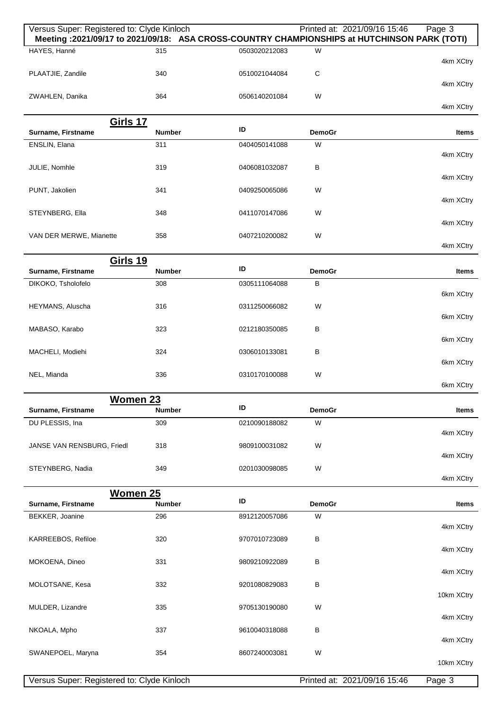| Versus Super: Registered to: Clyde Kinloch<br>Meeting : 2021/09/17 to 2021/09/18: ASA CROSS-COUNTRY CHAMPIONSHIPS at HUTCHINSON PARK (TOTI) |                      |               |                    | Printed at: 2021/09/16 15:46 | Page 3       |
|---------------------------------------------------------------------------------------------------------------------------------------------|----------------------|---------------|--------------------|------------------------------|--------------|
| HAYES, Hanné                                                                                                                                | 315                  | 0503020212083 | W                  |                              |              |
|                                                                                                                                             |                      |               |                    |                              | 4km XCtry    |
| PLAATJIE, Zandile                                                                                                                           | 340                  | 0510021044084 | C                  |                              | 4km XCtry    |
| ZWAHLEN, Danika                                                                                                                             | 364                  | 0506140201084 | W                  |                              |              |
|                                                                                                                                             |                      |               |                    |                              | 4km XCtry    |
| Girls 17                                                                                                                                    |                      | ID            |                    |                              |              |
| Surname, Firstname<br>ENSLIN, Elana                                                                                                         | <b>Number</b><br>311 | 0404050141088 | <b>DemoGr</b><br>W |                              | Items        |
|                                                                                                                                             |                      |               |                    |                              | 4km XCtry    |
| JULIE, Nomhle                                                                                                                               | 319                  | 0406081032087 | В                  |                              |              |
|                                                                                                                                             |                      |               |                    |                              | 4km XCtry    |
| PUNT, Jakolien                                                                                                                              | 341                  | 0409250065086 | W                  |                              | 4km XCtry    |
| STEYNBERG, Ella                                                                                                                             | 348                  | 0411070147086 | W                  |                              |              |
|                                                                                                                                             |                      |               |                    |                              | 4km XCtry    |
| VAN DER MERWE, Mianette                                                                                                                     | 358                  | 0407210200082 | W                  |                              | 4km XCtry    |
| <b>Girls 19</b>                                                                                                                             |                      |               |                    |                              |              |
| Surname, Firstname                                                                                                                          | <b>Number</b>        | ID            | <b>DemoGr</b>      |                              | Items        |
| DIKOKO, Tsholofelo                                                                                                                          | 308                  | 0305111064088 | в                  |                              |              |
| HEYMANS, Aluscha                                                                                                                            | 316                  | 0311250066082 | W                  |                              | 6km XCtry    |
|                                                                                                                                             |                      |               |                    |                              | 6km XCtry    |
| MABASO, Karabo                                                                                                                              | 323                  | 0212180350085 | в                  |                              |              |
|                                                                                                                                             |                      |               |                    |                              | 6km XCtry    |
| MACHELI, Modiehi                                                                                                                            | 324                  | 0306010133081 | в                  |                              | 6km XCtry    |
| NEL, Mianda                                                                                                                                 | 336                  | 0310170100088 | W                  |                              |              |
|                                                                                                                                             |                      |               |                    |                              | 6km XCtry    |
| <b>Women 23</b><br>Surname, Firstname                                                                                                       | <b>Number</b>        | ID            | <b>DemoGr</b>      |                              | <b>Items</b> |
| DU PLESSIS, Ina                                                                                                                             | 309                  | 0210090188082 | W                  |                              |              |
|                                                                                                                                             |                      |               |                    |                              | 4km XCtry    |
| JANSE VAN RENSBURG, Friedl                                                                                                                  | 318                  | 9809100031082 | W                  |                              |              |
| STEYNBERG, Nadia                                                                                                                            | 349                  | 0201030098085 | W                  |                              | 4km XCtry    |
|                                                                                                                                             |                      |               |                    |                              | 4km XCtry    |
| Women 25                                                                                                                                    |                      |               |                    |                              |              |
| Surname, Firstname                                                                                                                          | <b>Number</b>        | ID            | <b>DemoGr</b>      |                              | Items        |
| BEKKER, Joanine                                                                                                                             | 296                  | 8912120057086 | W                  |                              | 4km XCtry    |
| KARREEBOS, Refiloe                                                                                                                          | 320                  | 9707010723089 | в                  |                              |              |
|                                                                                                                                             |                      |               |                    |                              | 4km XCtry    |
| MOKOENA, Dineo                                                                                                                              | 331                  | 9809210922089 | В                  |                              | 4km XCtry    |
| MOLOTSANE, Kesa                                                                                                                             | 332                  | 9201080829083 | В                  |                              |              |
|                                                                                                                                             |                      |               |                    |                              | 10km XCtry   |
| MULDER, Lizandre                                                                                                                            | 335                  | 9705130190080 | W                  |                              |              |
| NKOALA, Mpho                                                                                                                                | 337                  | 9610040318088 | в                  |                              | 4km XCtry    |
|                                                                                                                                             |                      |               |                    |                              | 4km XCtry    |
| SWANEPOEL, Maryna                                                                                                                           | 354                  | 8607240003081 | W                  |                              |              |
|                                                                                                                                             |                      |               |                    |                              | 10km XCtry   |
| Versus Super: Registered to: Clyde Kinloch                                                                                                  |                      |               |                    | Printed at: 2021/09/16 15:46 | Page 3       |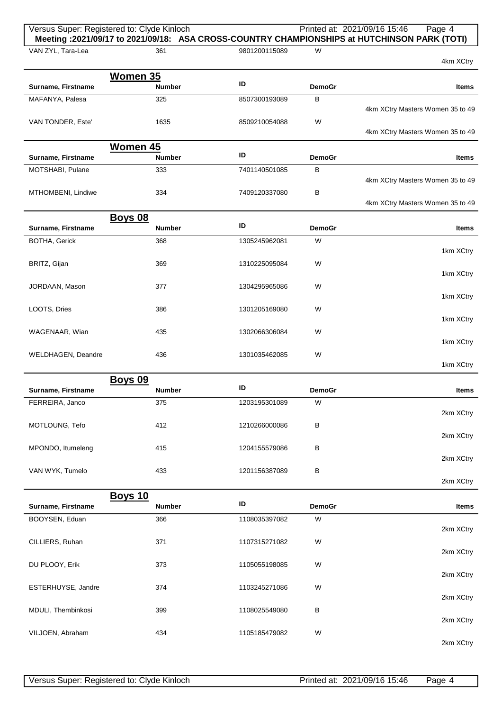|                    | Versus Super: Registered to: Clyde Kinloch |               |               | Printed at: 2021/09/16 15:46<br>Page 4<br>Meeting: 2021/09/17 to 2021/09/18: ASA CROSS-COUNTRY CHAMPIONSHIPS at HUTCHINSON PARK (TOTI) |
|--------------------|--------------------------------------------|---------------|---------------|----------------------------------------------------------------------------------------------------------------------------------------|
| VAN ZYL, Tara-Lea  | 361                                        | 9801200115089 | W             | 4km XCtry                                                                                                                              |
|                    | Women 35                                   |               |               |                                                                                                                                        |
| Surname, Firstname | <b>Number</b>                              | ID            | <b>DemoGr</b> | Items                                                                                                                                  |
| MAFANYA, Palesa    | 325                                        | 8507300193089 | B             | 4km XCtry Masters Women 35 to 49                                                                                                       |
| VAN TONDER, Este'  | 1635                                       | 8509210054088 | W             | 4km XCtry Masters Women 35 to 49                                                                                                       |
| Surname, Firstname | Women 45<br><b>Number</b>                  | ID            | <b>DemoGr</b> | <b>Items</b>                                                                                                                           |
| MOTSHABI, Pulane   | 333                                        | 7401140501085 | В             |                                                                                                                                        |
|                    |                                            |               |               | 4km XCtry Masters Women 35 to 49                                                                                                       |
| MTHOMBENI, Lindiwe | 334                                        | 7409120337080 | B             | 4km XCtry Masters Women 35 to 49                                                                                                       |
|                    | <b>Boys 08</b>                             |               |               |                                                                                                                                        |
| Surname, Firstname | <b>Number</b>                              | ID            | <b>DemoGr</b> | <b>Items</b>                                                                                                                           |
| BOTHA, Gerick      | 368                                        | 1305245962081 | W             | 1km XCtry                                                                                                                              |
| BRITZ, Gijan       | 369                                        | 1310225095084 | W             |                                                                                                                                        |
| JORDAAN, Mason     | 377                                        | 1304295965086 | W             | 1km XCtry                                                                                                                              |
|                    |                                            |               |               | 1km XCtry                                                                                                                              |
| LOOTS, Dries       | 386                                        | 1301205169080 | W             | 1km XCtry                                                                                                                              |
| WAGENAAR, Wian     | 435                                        | 1302066306084 | W             |                                                                                                                                        |
| WELDHAGEN, Deandre | 436                                        | 1301035462085 | W             | 1km XCtry                                                                                                                              |
|                    |                                            |               |               | 1km XCtry                                                                                                                              |
| Surname, Firstname | <b>Boys 09</b><br><b>Number</b>            | ID            | <b>DemoGr</b> | Items                                                                                                                                  |
| FERREIRA, Janco    | 375                                        | 1203195301089 | W             |                                                                                                                                        |
| MOTLOUNG, Tefo     | 412                                        | 1210266000086 | B             | 2km XCtry                                                                                                                              |
|                    |                                            |               |               | 2km XCtry                                                                                                                              |
| MPONDO, Itumeleng  | 415                                        | 1204155579086 | B             | 2km XCtry                                                                                                                              |
| VAN WYK, Tumelo    | 433                                        | 1201156387089 | B             |                                                                                                                                        |
|                    |                                            |               |               | 2km XCtry                                                                                                                              |
| Surname, Firstname | <b>Boys 10</b><br><b>Number</b>            | ID            | <b>DemoGr</b> | <b>Items</b>                                                                                                                           |
| BOOYSEN, Eduan     | 366                                        | 1108035397082 | W             |                                                                                                                                        |
|                    |                                            |               |               | 2km XCtry                                                                                                                              |
| CILLIERS, Ruhan    | 371                                        | 1107315271082 | W             | 2km XCtry                                                                                                                              |
| DU PLOOY, Erik     | 373                                        | 1105055198085 | W             | 2km XCtry                                                                                                                              |
| ESTERHUYSE, Jandre | 374                                        | 1103245271086 | W             |                                                                                                                                        |
| MDULI, Thembinkosi | 399                                        | 1108025549080 | B             | 2km XCtry                                                                                                                              |
|                    |                                            |               |               | 2km XCtry                                                                                                                              |
| VILJOEN, Abraham   | 434                                        | 1105185479082 | W             | 2km XCtry                                                                                                                              |
|                    |                                            |               |               |                                                                                                                                        |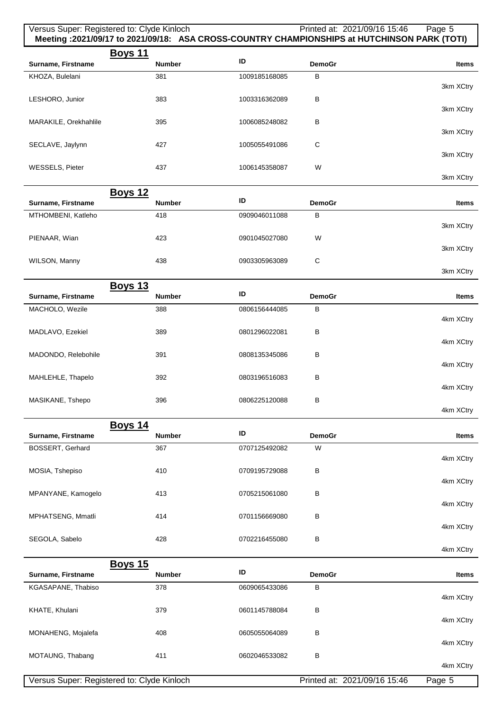|                                        | Versus Super: Registered to: Clyde Kinloch |               | Printed at: 2021/09/16 15:46 | Page 5<br>Meeting : 2021/09/17 to 2021/09/18: ASA CROSS-COUNTRY CHAMPIONSHIPS at HUTCHINSON PARK (TOTI) |
|----------------------------------------|--------------------------------------------|---------------|------------------------------|---------------------------------------------------------------------------------------------------------|
|                                        | <u>Boys 11</u>                             |               |                              |                                                                                                         |
| Surname, Firstname                     | <b>Number</b>                              | ID            | <b>DemoGr</b>                | <b>Items</b>                                                                                            |
| KHOZA, Bulelani                        | 381                                        | 1009185168085 | В                            | 3km XCtry                                                                                               |
| LESHORO, Junior                        | 383                                        | 1003316362089 | В                            |                                                                                                         |
|                                        |                                            |               |                              | 3km XCtry                                                                                               |
| MARAKILE, Orekhahlile                  | 395                                        | 1006085248082 | В                            | 3km XCtry                                                                                               |
| SECLAVE, Jaylynn                       | 427                                        | 1005055491086 | C                            |                                                                                                         |
|                                        |                                            |               |                              | 3km XCtry                                                                                               |
| <b>WESSELS, Pieter</b>                 | 437                                        | 1006145358087 | W                            | 3km XCtry                                                                                               |
|                                        | <b>Boys 12</b>                             |               |                              |                                                                                                         |
| Surname, Firstname                     | <b>Number</b>                              | ID            | <b>DemoGr</b>                | <b>Items</b>                                                                                            |
| MTHOMBENI, Katleho                     | 418                                        | 0909046011088 | В                            |                                                                                                         |
|                                        |                                            |               |                              | 3km XCtry                                                                                               |
| PIENAAR, Wian                          | 423                                        | 0901045027080 | W                            | 3km XCtry                                                                                               |
| WILSON, Manny                          | 438                                        | 0903305963089 | $\mathbf C$                  |                                                                                                         |
|                                        |                                            |               |                              | 3km XCtry                                                                                               |
| Surname, Firstname                     | <b>Boys 13</b><br><b>Number</b>            | ID            | <b>DemoGr</b>                | <b>Items</b>                                                                                            |
| MACHOLO, Wezile                        | 388                                        | 0806156444085 | В                            |                                                                                                         |
|                                        |                                            |               |                              | 4km XCtry                                                                                               |
| MADLAVO, Ezekiel                       | 389                                        | 0801296022081 | В                            | 4km XCtry                                                                                               |
| MADONDO, Relebohile                    | 391                                        | 0808135345086 | В                            |                                                                                                         |
|                                        |                                            |               |                              | 4km XCtry                                                                                               |
| MAHLEHLE, Thapelo                      | 392                                        | 0803196516083 | В                            | 4km XCtry                                                                                               |
| MASIKANE, Tshepo                       | 396                                        | 0806225120088 | В                            |                                                                                                         |
|                                        |                                            |               |                              | 4km XCtry                                                                                               |
|                                        | <b>Boys 14</b>                             | ID            |                              |                                                                                                         |
| Surname, Firstname<br>BOSSERT, Gerhard | <b>Number</b><br>367                       | 0707125492082 | <b>DemoGr</b><br>W           | <b>Items</b>                                                                                            |
|                                        |                                            |               |                              | 4km XCtry                                                                                               |
| MOSIA, Tshepiso                        | 410                                        | 0709195729088 | В                            |                                                                                                         |
| MPANYANE, Kamogelo                     | 413                                        | 0705215061080 | в                            | 4km XCtry                                                                                               |
|                                        |                                            |               |                              | 4km XCtry                                                                                               |
| MPHATSENG, Mmatli                      | 414                                        | 0701156669080 | в                            |                                                                                                         |
|                                        |                                            |               |                              | 4km XCtry                                                                                               |
| SEGOLA, Sabelo                         | 428                                        | 0702216455080 | В                            | 4km XCtry                                                                                               |
|                                        | <b>Boys 15</b>                             |               |                              |                                                                                                         |
| Surname, Firstname                     | <b>Number</b>                              | ID            | <b>DemoGr</b>                | <b>Items</b>                                                                                            |
| KGASAPANE, Thabiso                     | 378                                        | 0609065433086 | В                            | 4km XCtry                                                                                               |
| KHATE, Khulani                         | 379                                        | 0601145788084 | в                            |                                                                                                         |
|                                        |                                            |               |                              | 4km XCtry                                                                                               |
| MONAHENG, Mojalefa                     | 408                                        | 0605055064089 | в                            | 4km XCtry                                                                                               |
| MOTAUNG, Thabang                       | 411                                        | 0602046533082 | В                            |                                                                                                         |
|                                        |                                            |               |                              | 4km XCtry                                                                                               |
|                                        | Versus Super: Registered to: Clyde Kinloch |               | Printed at: 2021/09/16 15:46 | Page 5                                                                                                  |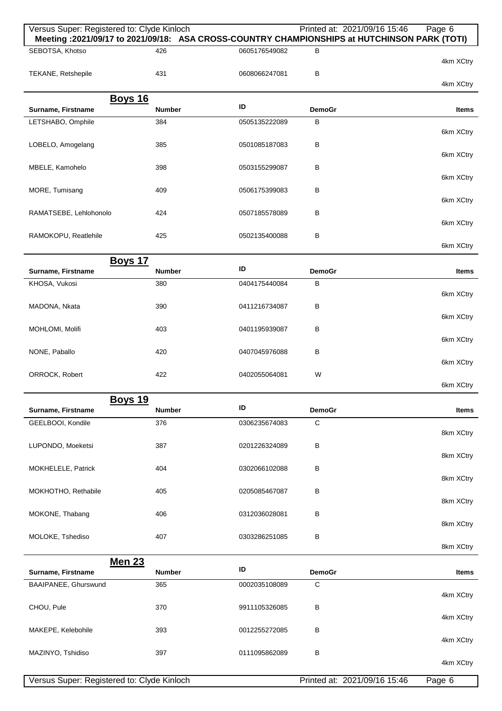| Versus Super: Registered to: Clyde Kinloch |                                 |               | Printed at: 2021/09/16 15:46 | Page 6<br>Meeting :2021/09/17 to 2021/09/18: ASA CROSS-COUNTRY CHAMPIONSHIPS at HUTCHINSON PARK (TOTI) |
|--------------------------------------------|---------------------------------|---------------|------------------------------|--------------------------------------------------------------------------------------------------------|
| SEBOTSA, Khotso                            | 426                             | 0605176549082 | в                            | 4km XCtry                                                                                              |
| TEKANE, Retshepile                         | 431                             | 0608066247081 | в                            |                                                                                                        |
|                                            |                                 |               |                              | 4km XCtry                                                                                              |
| Surname, Firstname                         | <b>Boys 16</b><br><b>Number</b> | ID            | <b>DemoGr</b>                | Items                                                                                                  |
| LETSHABO, Omphile                          | 384                             | 0505135222089 | B                            |                                                                                                        |
| LOBELO, Amogelang                          | 385                             | 0501085187083 | В                            | 6km XCtry                                                                                              |
|                                            |                                 |               |                              | 6km XCtry                                                                                              |
| MBELE, Kamohelo                            | 398                             | 0503155299087 | B                            | 6km XCtry                                                                                              |
| MORE, Tumisang                             | 409                             | 0506175399083 | В                            | 6km XCtry                                                                                              |
| RAMATSEBE, Lehlohonolo                     | 424                             | 0507185578089 | B                            |                                                                                                        |
| RAMOKOPU, Reatlehile                       | 425                             | 0502135400088 | B                            | 6km XCtry                                                                                              |
|                                            |                                 |               |                              | 6km XCtry                                                                                              |
| Surname, Firstname                         | <b>Boys 17</b><br>Number        | ID            | <b>DemoGr</b>                | Items                                                                                                  |
| KHOSA, Vukosi                              | 380                             | 0404175440084 | B                            |                                                                                                        |
|                                            |                                 |               |                              | 6km XCtry                                                                                              |
| MADONA, Nkata                              | 390                             | 0411216734087 | В                            | 6km XCtry                                                                                              |
| MOHLOMI, Molifi                            | 403                             | 0401195939087 | В                            | 6km XCtry                                                                                              |
| NONE, Paballo                              | 420                             | 0407045976088 | В                            |                                                                                                        |
| ORROCK, Robert                             | 422                             | 0402055064081 | W                            | 6km XCtry                                                                                              |
|                                            |                                 |               |                              | 6km XCtry                                                                                              |
| Surname, Firstname                         | <b>Boys 19</b><br><b>Number</b> | ID            | <b>DemoGr</b>                | <b>Items</b>                                                                                           |
| GEELBOOI, Kondile                          | 376                             | 0306235674083 | C                            |                                                                                                        |
|                                            |                                 |               |                              | 8km XCtry                                                                                              |
| LUPONDO, Moeketsi                          | 387                             | 0201226324089 | B                            | 8km XCtry                                                                                              |
| MOKHELELE, Patrick                         | 404                             | 0302066102088 | В                            | 8km XCtry                                                                                              |
| MOKHOTHO, Rethabile                        | 405                             | 0205085467087 | B                            |                                                                                                        |
|                                            |                                 |               |                              | 8km XCtry                                                                                              |
| MOKONE, Thabang                            | 406                             | 0312036028081 | В                            | 8km XCtry                                                                                              |
| MOLOKE, Tshediso                           | 407                             | 0303286251085 | B                            | 8km XCtry                                                                                              |
|                                            | <b>Men 23</b>                   |               |                              |                                                                                                        |
| Surname, Firstname                         | <b>Number</b>                   | ID            | <b>DemoGr</b>                | Items                                                                                                  |
| BAAIPANEE, Ghurswund                       | 365                             | 0002035108089 | C                            | 4km XCtry                                                                                              |
| CHOU, Pule                                 | 370                             | 9911105326085 | B                            | 4km XCtry                                                                                              |
| MAKEPE, Kelebohile                         | 393                             | 0012255272085 | в                            |                                                                                                        |
|                                            |                                 |               |                              | 4km XCtry                                                                                              |
| MAZINYO, Tshidiso                          | 397                             | 0111095862089 | B                            | 4km XCtry                                                                                              |
| Versus Super: Registered to: Clyde Kinloch |                                 |               | Printed at: 2021/09/16 15:46 | Page 6                                                                                                 |